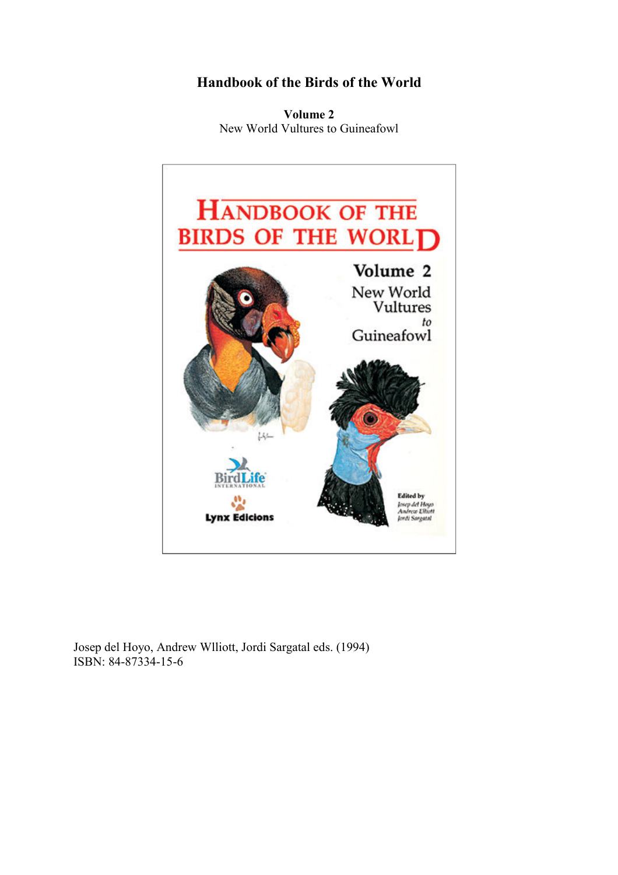# Handbook of the Birds of the World

Volume 2 New World Vultures to Guineafowl



Josep del Hoyo, Andrew Wlliott, Jordi Sargatal eds. (1994) ISBN: 84-87334-15-6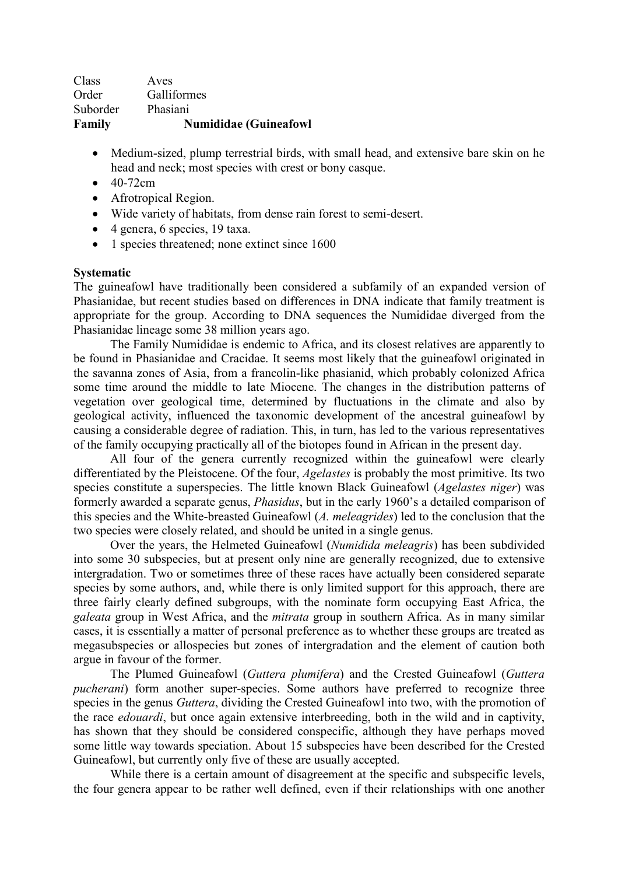| Family   | <b>Numididae (Guineafowl</b> |
|----------|------------------------------|
| Suborder | Phasiani                     |
| Order    | Galliformes                  |
| Class    | Aves                         |

- Medium-sized, plump terrestrial birds, with small head, and extensive bare skin on he head and neck; most species with crest or bony casque.
- $\bullet$  40-72cm
- Afrotropical Region.
- Wide variety of habitats, from dense rain forest to semi-desert.
- 4 genera, 6 species, 19 taxa.
- 1 species threatened; none extinct since 1600

### Systematic

The guineafowl have traditionally been considered a subfamily of an expanded version of Phasianidae, but recent studies based on differences in DNA indicate that family treatment is appropriate for the group. According to DNA sequences the Numididae diverged from the Phasianidae lineage some 38 million years ago.

The Family Numididae is endemic to Africa, and its closest relatives are apparently to be found in Phasianidae and Cracidae. It seems most likely that the guineafowl originated in the savanna zones of Asia, from a francolin-like phasianid, which probably colonized Africa some time around the middle to late Miocene. The changes in the distribution patterns of vegetation over geological time, determined by fluctuations in the climate and also by geological activity, influenced the taxonomic development of the ancestral guineafowl by causing a considerable degree of radiation. This, in turn, has led to the various representatives of the family occupying practically all of the biotopes found in African in the present day.

All four of the genera currently recognized within the guineafowl were clearly differentiated by the Pleistocene. Of the four, Agelastes is probably the most primitive. Its two species constitute a superspecies. The little known Black Guineafowl (*Agelastes niger*) was formerly awarded a separate genus, Phasidus, but in the early 1960's a detailed comparison of this species and the White-breasted Guineafowl (A. meleagrides) led to the conclusion that the two species were closely related, and should be united in a single genus.

Over the years, the Helmeted Guineafowl (Numidida meleagris) has been subdivided into some 30 subspecies, but at present only nine are generally recognized, due to extensive intergradation. Two or sometimes three of these races have actually been considered separate species by some authors, and, while there is only limited support for this approach, there are three fairly clearly defined subgroups, with the nominate form occupying East Africa, the galeata group in West Africa, and the mitrata group in southern Africa. As in many similar cases, it is essentially a matter of personal preference as to whether these groups are treated as megasubspecies or allospecies but zones of intergradation and the element of caution both argue in favour of the former.

The Plumed Guineafowl (Guttera plumifera) and the Crested Guineafowl (Guttera pucherani) form another super-species. Some authors have preferred to recognize three species in the genus *Guttera*, dividing the Crested Guineafowl into two, with the promotion of the race edouardi, but once again extensive interbreeding, both in the wild and in captivity, has shown that they should be considered conspecific, although they have perhaps moved some little way towards speciation. About 15 subspecies have been described for the Crested Guineafowl, but currently only five of these are usually accepted.

While there is a certain amount of disagreement at the specific and subspecific levels, the four genera appear to be rather well defined, even if their relationships with one another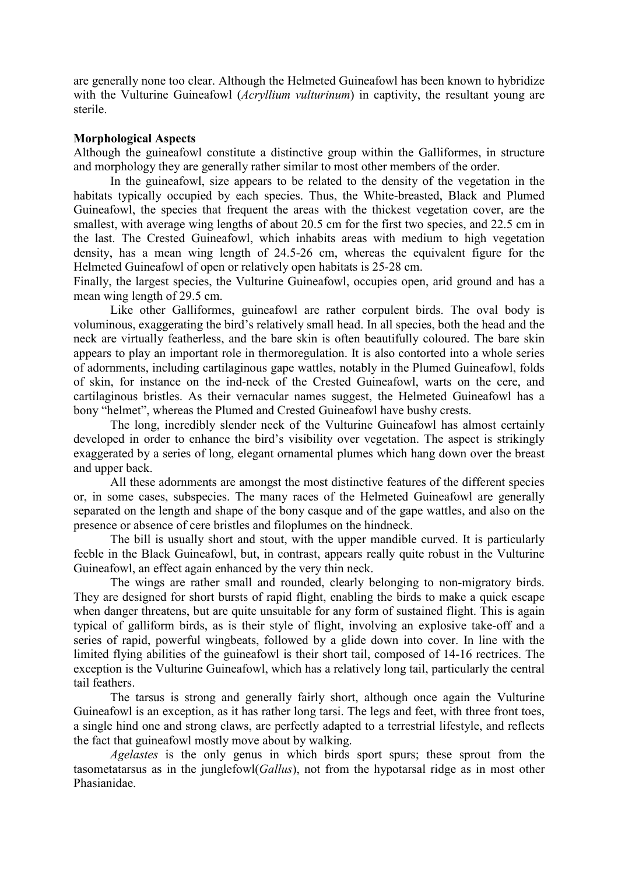are generally none too clear. Although the Helmeted Guineafowl has been known to hybridize with the Vulturine Guineafowl (*Acryllium vulturinum*) in captivity, the resultant young are sterile.

#### Morphological Aspects

Although the guineafowl constitute a distinctive group within the Galliformes, in structure and morphology they are generally rather similar to most other members of the order.

 In the guineafowl, size appears to be related to the density of the vegetation in the habitats typically occupied by each species. Thus, the White-breasted, Black and Plumed Guineafowl, the species that frequent the areas with the thickest vegetation cover, are the smallest, with average wing lengths of about 20.5 cm for the first two species, and 22.5 cm in the last. The Crested Guineafowl, which inhabits areas with medium to high vegetation density, has a mean wing length of 24.5-26 cm, whereas the equivalent figure for the Helmeted Guineafowl of open or relatively open habitats is 25-28 cm.

Finally, the largest species, the Vulturine Guineafowl, occupies open, arid ground and has a mean wing length of 29.5 cm.

 Like other Galliformes, guineafowl are rather corpulent birds. The oval body is voluminous, exaggerating the bird's relatively small head. In all species, both the head and the neck are virtually featherless, and the bare skin is often beautifully coloured. The bare skin appears to play an important role in thermoregulation. It is also contorted into a whole series of adornments, including cartilaginous gape wattles, notably in the Plumed Guineafowl, folds of skin, for instance on the ind-neck of the Crested Guineafowl, warts on the cere, and cartilaginous bristles. As their vernacular names suggest, the Helmeted Guineafowl has a bony "helmet", whereas the Plumed and Crested Guineafowl have bushy crests.

 The long, incredibly slender neck of the Vulturine Guineafowl has almost certainly developed in order to enhance the bird's visibility over vegetation. The aspect is strikingly exaggerated by a series of long, elegant ornamental plumes which hang down over the breast and upper back.

 All these adornments are amongst the most distinctive features of the different species or, in some cases, subspecies. The many races of the Helmeted Guineafowl are generally separated on the length and shape of the bony casque and of the gape wattles, and also on the presence or absence of cere bristles and filoplumes on the hindneck.

 The bill is usually short and stout, with the upper mandible curved. It is particularly feeble in the Black Guineafowl, but, in contrast, appears really quite robust in the Vulturine Guineafowl, an effect again enhanced by the very thin neck.

 The wings are rather small and rounded, clearly belonging to non-migratory birds. They are designed for short bursts of rapid flight, enabling the birds to make a quick escape when danger threatens, but are quite unsuitable for any form of sustained flight. This is again typical of galliform birds, as is their style of flight, involving an explosive take-off and a series of rapid, powerful wingbeats, followed by a glide down into cover. In line with the limited flying abilities of the guineafowl is their short tail, composed of 14-16 rectrices. The exception is the Vulturine Guineafowl, which has a relatively long tail, particularly the central tail feathers.

 The tarsus is strong and generally fairly short, although once again the Vulturine Guineafowl is an exception, as it has rather long tarsi. The legs and feet, with three front toes, a single hind one and strong claws, are perfectly adapted to a terrestrial lifestyle, and reflects the fact that guineafowl mostly move about by walking.

Agelastes is the only genus in which birds sport spurs; these sprout from the tasometatarsus as in the junglefowl(Gallus), not from the hypotarsal ridge as in most other Phasianidae.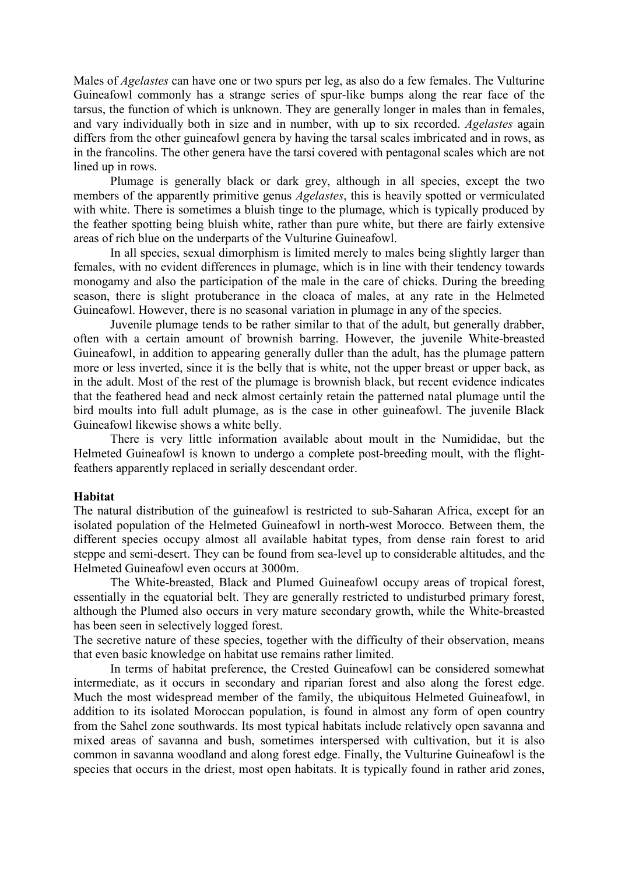Males of Agelastes can have one or two spurs per leg, as also do a few females. The Vulturine Guineafowl commonly has a strange series of spur-like bumps along the rear face of the tarsus, the function of which is unknown. They are generally longer in males than in females, and vary individually both in size and in number, with up to six recorded. Agelastes again differs from the other guineafowl genera by having the tarsal scales imbricated and in rows, as in the francolins. The other genera have the tarsi covered with pentagonal scales which are not lined up in rows.

 Plumage is generally black or dark grey, although in all species, except the two members of the apparently primitive genus Agelastes, this is heavily spotted or vermiculated with white. There is sometimes a bluish tinge to the plumage, which is typically produced by the feather spotting being bluish white, rather than pure white, but there are fairly extensive areas of rich blue on the underparts of the Vulturine Guineafowl.

 In all species, sexual dimorphism is limited merely to males being slightly larger than females, with no evident differences in plumage, which is in line with their tendency towards monogamy and also the participation of the male in the care of chicks. During the breeding season, there is slight protuberance in the cloaca of males, at any rate in the Helmeted Guineafowl. However, there is no seasonal variation in plumage in any of the species.

 Juvenile plumage tends to be rather similar to that of the adult, but generally drabber, often with a certain amount of brownish barring. However, the juvenile White-breasted Guineafowl, in addition to appearing generally duller than the adult, has the plumage pattern more or less inverted, since it is the belly that is white, not the upper breast or upper back, as in the adult. Most of the rest of the plumage is brownish black, but recent evidence indicates that the feathered head and neck almost certainly retain the patterned natal plumage until the bird moults into full adult plumage, as is the case in other guineafowl. The juvenile Black Guineafowl likewise shows a white belly.

 There is very little information available about moult in the Numididae, but the Helmeted Guineafowl is known to undergo a complete post-breeding moult, with the flightfeathers apparently replaced in serially descendant order.

#### Habitat

The natural distribution of the guineafowl is restricted to sub-Saharan Africa, except for an isolated population of the Helmeted Guineafowl in north-west Morocco. Between them, the different species occupy almost all available habitat types, from dense rain forest to arid steppe and semi-desert. They can be found from sea-level up to considerable altitudes, and the Helmeted Guineafowl even occurs at 3000m.

 The White-breasted, Black and Plumed Guineafowl occupy areas of tropical forest, essentially in the equatorial belt. They are generally restricted to undisturbed primary forest, although the Plumed also occurs in very mature secondary growth, while the White-breasted has been seen in selectively logged forest.

The secretive nature of these species, together with the difficulty of their observation, means that even basic knowledge on habitat use remains rather limited.

 In terms of habitat preference, the Crested Guineafowl can be considered somewhat intermediate, as it occurs in secondary and riparian forest and also along the forest edge. Much the most widespread member of the family, the ubiquitous Helmeted Guineafowl, in addition to its isolated Moroccan population, is found in almost any form of open country from the Sahel zone southwards. Its most typical habitats include relatively open savanna and mixed areas of savanna and bush, sometimes interspersed with cultivation, but it is also common in savanna woodland and along forest edge. Finally, the Vulturine Guineafowl is the species that occurs in the driest, most open habitats. It is typically found in rather arid zones,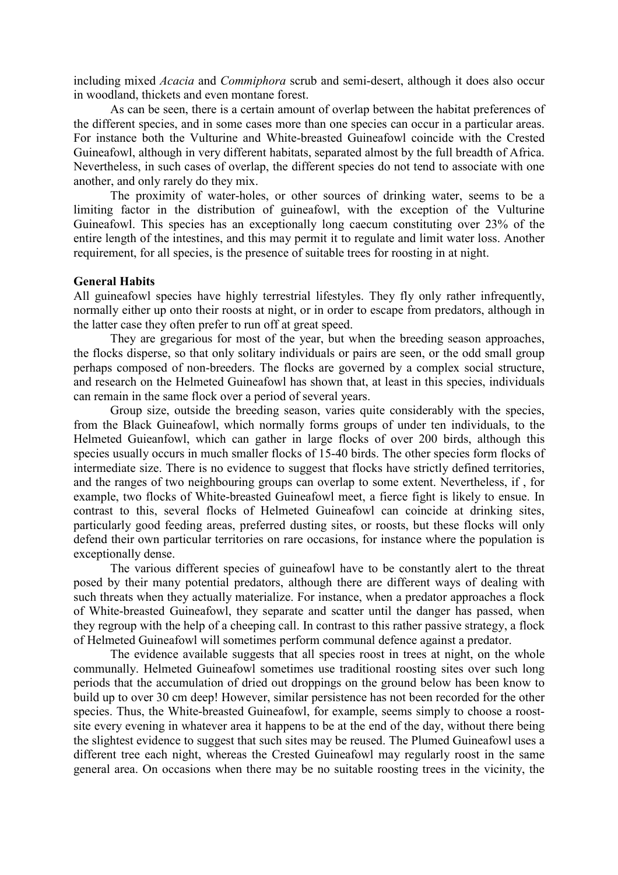including mixed Acacia and Commiphora scrub and semi-desert, although it does also occur in woodland, thickets and even montane forest.

 As can be seen, there is a certain amount of overlap between the habitat preferences of the different species, and in some cases more than one species can occur in a particular areas. For instance both the Vulturine and White-breasted Guineafowl coincide with the Crested Guineafowl, although in very different habitats, separated almost by the full breadth of Africa. Nevertheless, in such cases of overlap, the different species do not tend to associate with one another, and only rarely do they mix.

 The proximity of water-holes, or other sources of drinking water, seems to be a limiting factor in the distribution of guineafowl, with the exception of the Vulturine Guineafowl. This species has an exceptionally long caecum constituting over 23% of the entire length of the intestines, and this may permit it to regulate and limit water loss. Another requirement, for all species, is the presence of suitable trees for roosting in at night.

#### General Habits

All guineafowl species have highly terrestrial lifestyles. They fly only rather infrequently, normally either up onto their roosts at night, or in order to escape from predators, although in the latter case they often prefer to run off at great speed.

 They are gregarious for most of the year, but when the breeding season approaches, the flocks disperse, so that only solitary individuals or pairs are seen, or the odd small group perhaps composed of non-breeders. The flocks are governed by a complex social structure, and research on the Helmeted Guineafowl has shown that, at least in this species, individuals can remain in the same flock over a period of several years.

 Group size, outside the breeding season, varies quite considerably with the species, from the Black Guineafowl, which normally forms groups of under ten individuals, to the Helmeted Guieanfowl, which can gather in large flocks of over 200 birds, although this species usually occurs in much smaller flocks of 15-40 birds. The other species form flocks of intermediate size. There is no evidence to suggest that flocks have strictly defined territories, and the ranges of two neighbouring groups can overlap to some extent. Nevertheless, if , for example, two flocks of White-breasted Guineafowl meet, a fierce fight is likely to ensue. In contrast to this, several flocks of Helmeted Guineafowl can coincide at drinking sites, particularly good feeding areas, preferred dusting sites, or roosts, but these flocks will only defend their own particular territories on rare occasions, for instance where the population is exceptionally dense.

 The various different species of guineafowl have to be constantly alert to the threat posed by their many potential predators, although there are different ways of dealing with such threats when they actually materialize. For instance, when a predator approaches a flock of White-breasted Guineafowl, they separate and scatter until the danger has passed, when they regroup with the help of a cheeping call. In contrast to this rather passive strategy, a flock of Helmeted Guineafowl will sometimes perform communal defence against a predator.

 The evidence available suggests that all species roost in trees at night, on the whole communally. Helmeted Guineafowl sometimes use traditional roosting sites over such long periods that the accumulation of dried out droppings on the ground below has been know to build up to over 30 cm deep! However, similar persistence has not been recorded for the other species. Thus, the White-breasted Guineafowl, for example, seems simply to choose a roostsite every evening in whatever area it happens to be at the end of the day, without there being the slightest evidence to suggest that such sites may be reused. The Plumed Guineafowl uses a different tree each night, whereas the Crested Guineafowl may regularly roost in the same general area. On occasions when there may be no suitable roosting trees in the vicinity, the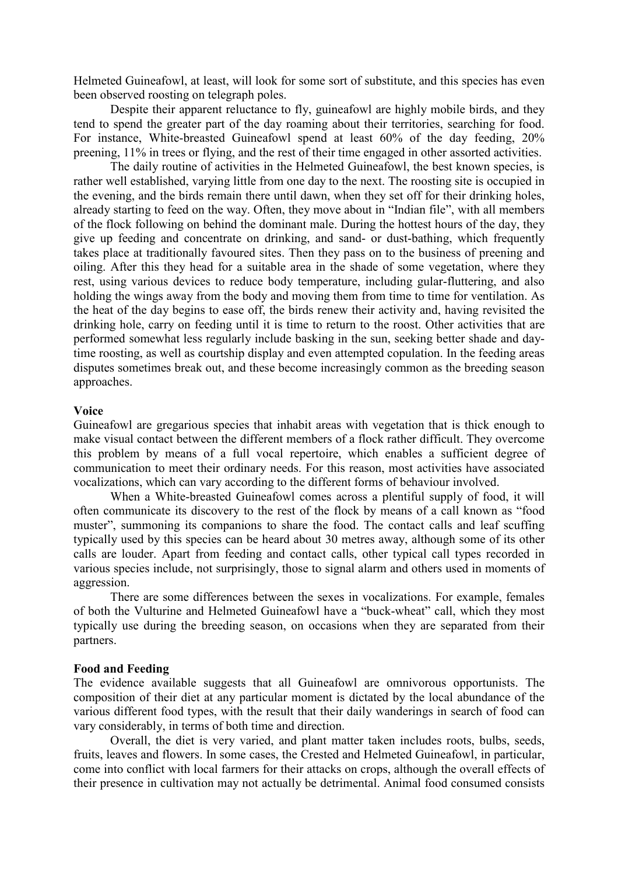Helmeted Guineafowl, at least, will look for some sort of substitute, and this species has even been observed roosting on telegraph poles.

 Despite their apparent reluctance to fly, guineafowl are highly mobile birds, and they tend to spend the greater part of the day roaming about their territories, searching for food. For instance, White-breasted Guineafowl spend at least 60% of the day feeding, 20% preening, 11% in trees or flying, and the rest of their time engaged in other assorted activities.

 The daily routine of activities in the Helmeted Guineafowl, the best known species, is rather well established, varying little from one day to the next. The roosting site is occupied in the evening, and the birds remain there until dawn, when they set off for their drinking holes, already starting to feed on the way. Often, they move about in "Indian file", with all members of the flock following on behind the dominant male. During the hottest hours of the day, they give up feeding and concentrate on drinking, and sand- or dust-bathing, which frequently takes place at traditionally favoured sites. Then they pass on to the business of preening and oiling. After this they head for a suitable area in the shade of some vegetation, where they rest, using various devices to reduce body temperature, including gular-fluttering, and also holding the wings away from the body and moving them from time to time for ventilation. As the heat of the day begins to ease off, the birds renew their activity and, having revisited the drinking hole, carry on feeding until it is time to return to the roost. Other activities that are performed somewhat less regularly include basking in the sun, seeking better shade and daytime roosting, as well as courtship display and even attempted copulation. In the feeding areas disputes sometimes break out, and these become increasingly common as the breeding season approaches.

#### Voice

Guineafowl are gregarious species that inhabit areas with vegetation that is thick enough to make visual contact between the different members of a flock rather difficult. They overcome this problem by means of a full vocal repertoire, which enables a sufficient degree of communication to meet their ordinary needs. For this reason, most activities have associated vocalizations, which can vary according to the different forms of behaviour involved.

 When a White-breasted Guineafowl comes across a plentiful supply of food, it will often communicate its discovery to the rest of the flock by means of a call known as "food muster", summoning its companions to share the food. The contact calls and leaf scuffing typically used by this species can be heard about 30 metres away, although some of its other calls are louder. Apart from feeding and contact calls, other typical call types recorded in various species include, not surprisingly, those to signal alarm and others used in moments of aggression.

 There are some differences between the sexes in vocalizations. For example, females of both the Vulturine and Helmeted Guineafowl have a "buck-wheat" call, which they most typically use during the breeding season, on occasions when they are separated from their partners.

#### Food and Feeding

The evidence available suggests that all Guineafowl are omnivorous opportunists. The composition of their diet at any particular moment is dictated by the local abundance of the various different food types, with the result that their daily wanderings in search of food can vary considerably, in terms of both time and direction.

 Overall, the diet is very varied, and plant matter taken includes roots, bulbs, seeds, fruits, leaves and flowers. In some cases, the Crested and Helmeted Guineafowl, in particular, come into conflict with local farmers for their attacks on crops, although the overall effects of their presence in cultivation may not actually be detrimental. Animal food consumed consists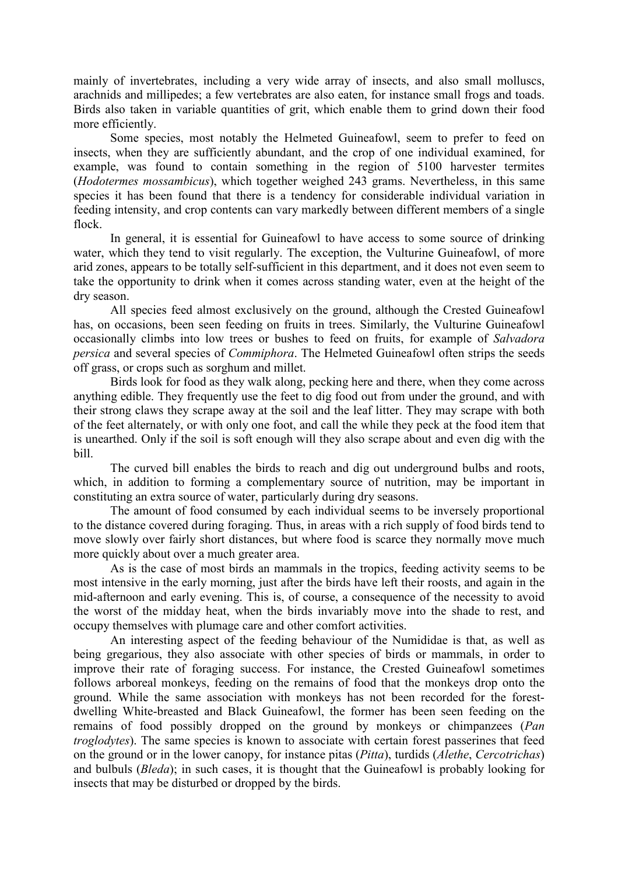mainly of invertebrates, including a very wide array of insects, and also small molluscs, arachnids and millipedes; a few vertebrates are also eaten, for instance small frogs and toads. Birds also taken in variable quantities of grit, which enable them to grind down their food more efficiently.

 Some species, most notably the Helmeted Guineafowl, seem to prefer to feed on insects, when they are sufficiently abundant, and the crop of one individual examined, for example, was found to contain something in the region of 5100 harvester termites (Hodotermes mossambicus), which together weighed 243 grams. Nevertheless, in this same species it has been found that there is a tendency for considerable individual variation in feeding intensity, and crop contents can vary markedly between different members of a single flock.

 In general, it is essential for Guineafowl to have access to some source of drinking water, which they tend to visit regularly. The exception, the Vulturine Guineafowl, of more arid zones, appears to be totally self-sufficient in this department, and it does not even seem to take the opportunity to drink when it comes across standing water, even at the height of the dry season.

 All species feed almost exclusively on the ground, although the Crested Guineafowl has, on occasions, been seen feeding on fruits in trees. Similarly, the Vulturine Guineafowl occasionally climbs into low trees or bushes to feed on fruits, for example of Salvadora persica and several species of Commiphora. The Helmeted Guineafowl often strips the seeds off grass, or crops such as sorghum and millet.

 Birds look for food as they walk along, pecking here and there, when they come across anything edible. They frequently use the feet to dig food out from under the ground, and with their strong claws they scrape away at the soil and the leaf litter. They may scrape with both of the feet alternately, or with only one foot, and call the while they peck at the food item that is unearthed. Only if the soil is soft enough will they also scrape about and even dig with the bill.

 The curved bill enables the birds to reach and dig out underground bulbs and roots, which, in addition to forming a complementary source of nutrition, may be important in constituting an extra source of water, particularly during dry seasons.

 The amount of food consumed by each individual seems to be inversely proportional to the distance covered during foraging. Thus, in areas with a rich supply of food birds tend to move slowly over fairly short distances, but where food is scarce they normally move much more quickly about over a much greater area.

 As is the case of most birds an mammals in the tropics, feeding activity seems to be most intensive in the early morning, just after the birds have left their roosts, and again in the mid-afternoon and early evening. This is, of course, a consequence of the necessity to avoid the worst of the midday heat, when the birds invariably move into the shade to rest, and occupy themselves with plumage care and other comfort activities.

 An interesting aspect of the feeding behaviour of the Numididae is that, as well as being gregarious, they also associate with other species of birds or mammals, in order to improve their rate of foraging success. For instance, the Crested Guineafowl sometimes follows arboreal monkeys, feeding on the remains of food that the monkeys drop onto the ground. While the same association with monkeys has not been recorded for the forestdwelling White-breasted and Black Guineafowl, the former has been seen feeding on the remains of food possibly dropped on the ground by monkeys or chimpanzees (Pan troglodytes). The same species is known to associate with certain forest passerines that feed on the ground or in the lower canopy, for instance pitas (Pitta), turdids (Alethe, Cercotrichas) and bulbuls (Bleda); in such cases, it is thought that the Guineafowl is probably looking for insects that may be disturbed or dropped by the birds.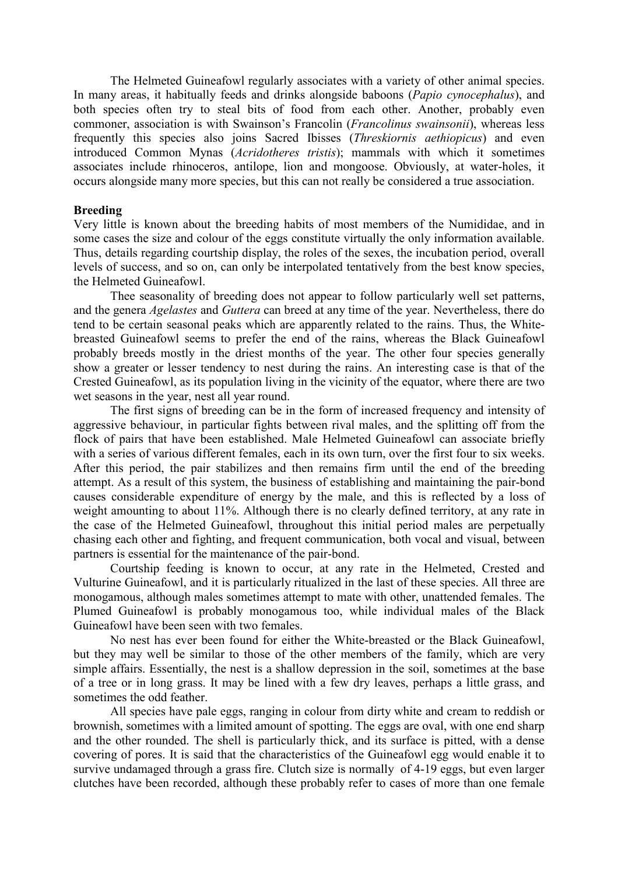The Helmeted Guineafowl regularly associates with a variety of other animal species. In many areas, it habitually feeds and drinks alongside baboons (Papio cynocephalus), and both species often try to steal bits of food from each other. Another, probably even commoner, association is with Swainson's Francolin (*Francolinus swainsonii*), whereas less frequently this species also joins Sacred Ibisses (Threskiornis aethiopicus) and even introduced Common Mynas (Acridotheres tristis); mammals with which it sometimes associates include rhinoceros, antilope, lion and mongoose. Obviously, at water-holes, it occurs alongside many more species, but this can not really be considered a true association.

#### Breeding

Very little is known about the breeding habits of most members of the Numididae, and in some cases the size and colour of the eggs constitute virtually the only information available. Thus, details regarding courtship display, the roles of the sexes, the incubation period, overall levels of success, and so on, can only be interpolated tentatively from the best know species, the Helmeted Guineafowl.

 Thee seasonality of breeding does not appear to follow particularly well set patterns, and the genera Agelastes and Guttera can breed at any time of the year. Nevertheless, there do tend to be certain seasonal peaks which are apparently related to the rains. Thus, the Whitebreasted Guineafowl seems to prefer the end of the rains, whereas the Black Guineafowl probably breeds mostly in the driest months of the year. The other four species generally show a greater or lesser tendency to nest during the rains. An interesting case is that of the Crested Guineafowl, as its population living in the vicinity of the equator, where there are two wet seasons in the year, nest all year round.

 The first signs of breeding can be in the form of increased frequency and intensity of aggressive behaviour, in particular fights between rival males, and the splitting off from the flock of pairs that have been established. Male Helmeted Guineafowl can associate briefly with a series of various different females, each in its own turn, over the first four to six weeks. After this period, the pair stabilizes and then remains firm until the end of the breeding attempt. As a result of this system, the business of establishing and maintaining the pair-bond causes considerable expenditure of energy by the male, and this is reflected by a loss of weight amounting to about 11%. Although there is no clearly defined territory, at any rate in the case of the Helmeted Guineafowl, throughout this initial period males are perpetually chasing each other and fighting, and frequent communication, both vocal and visual, between partners is essential for the maintenance of the pair-bond.

 Courtship feeding is known to occur, at any rate in the Helmeted, Crested and Vulturine Guineafowl, and it is particularly ritualized in the last of these species. All three are monogamous, although males sometimes attempt to mate with other, unattended females. The Plumed Guineafowl is probably monogamous too, while individual males of the Black Guineafowl have been seen with two females.

 No nest has ever been found for either the White-breasted or the Black Guineafowl, but they may well be similar to those of the other members of the family, which are very simple affairs. Essentially, the nest is a shallow depression in the soil, sometimes at the base of a tree or in long grass. It may be lined with a few dry leaves, perhaps a little grass, and sometimes the odd feather.

 All species have pale eggs, ranging in colour from dirty white and cream to reddish or brownish, sometimes with a limited amount of spotting. The eggs are oval, with one end sharp and the other rounded. The shell is particularly thick, and its surface is pitted, with a dense covering of pores. It is said that the characteristics of the Guineafowl egg would enable it to survive undamaged through a grass fire. Clutch size is normally of 4-19 eggs, but even larger clutches have been recorded, although these probably refer to cases of more than one female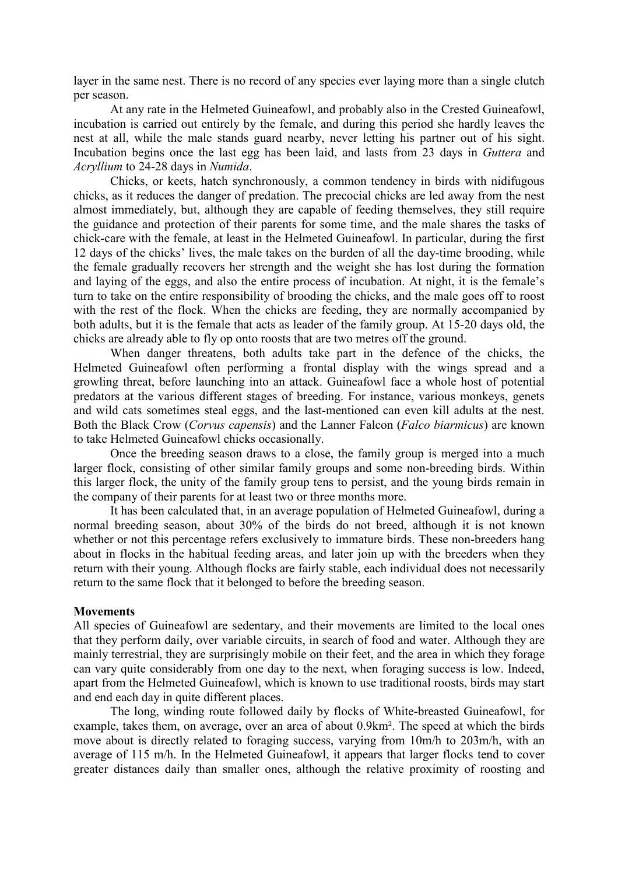layer in the same nest. There is no record of any species ever laying more than a single clutch per season.

 At any rate in the Helmeted Guineafowl, and probably also in the Crested Guineafowl, incubation is carried out entirely by the female, and during this period she hardly leaves the nest at all, while the male stands guard nearby, never letting his partner out of his sight. Incubation begins once the last egg has been laid, and lasts from 23 days in *Guttera* and Acryllium to 24-28 days in Numida.

 Chicks, or keets, hatch synchronously, a common tendency in birds with nidifugous chicks, as it reduces the danger of predation. The precocial chicks are led away from the nest almost immediately, but, although they are capable of feeding themselves, they still require the guidance and protection of their parents for some time, and the male shares the tasks of chick-care with the female, at least in the Helmeted Guineafowl. In particular, during the first 12 days of the chicks' lives, the male takes on the burden of all the day-time brooding, while the female gradually recovers her strength and the weight she has lost during the formation and laying of the eggs, and also the entire process of incubation. At night, it is the female's turn to take on the entire responsibility of brooding the chicks, and the male goes off to roost with the rest of the flock. When the chicks are feeding, they are normally accompanied by both adults, but it is the female that acts as leader of the family group. At 15-20 days old, the chicks are already able to fly op onto roosts that are two metres off the ground.

 When danger threatens, both adults take part in the defence of the chicks, the Helmeted Guineafowl often performing a frontal display with the wings spread and a growling threat, before launching into an attack. Guineafowl face a whole host of potential predators at the various different stages of breeding. For instance, various monkeys, genets and wild cats sometimes steal eggs, and the last-mentioned can even kill adults at the nest. Both the Black Crow (Corvus capensis) and the Lanner Falcon (Falco biarmicus) are known to take Helmeted Guineafowl chicks occasionally.

 Once the breeding season draws to a close, the family group is merged into a much larger flock, consisting of other similar family groups and some non-breeding birds. Within this larger flock, the unity of the family group tens to persist, and the young birds remain in the company of their parents for at least two or three months more.

 It has been calculated that, in an average population of Helmeted Guineafowl, during a normal breeding season, about 30% of the birds do not breed, although it is not known whether or not this percentage refers exclusively to immature birds. These non-breeders hang about in flocks in the habitual feeding areas, and later join up with the breeders when they return with their young. Although flocks are fairly stable, each individual does not necessarily return to the same flock that it belonged to before the breeding season.

#### **Movements**

All species of Guineafowl are sedentary, and their movements are limited to the local ones that they perform daily, over variable circuits, in search of food and water. Although they are mainly terrestrial, they are surprisingly mobile on their feet, and the area in which they forage can vary quite considerably from one day to the next, when foraging success is low. Indeed, apart from the Helmeted Guineafowl, which is known to use traditional roosts, birds may start and end each day in quite different places.

 The long, winding route followed daily by flocks of White-breasted Guineafowl, for example, takes them, on average, over an area of about 0.9km². The speed at which the birds move about is directly related to foraging success, varying from 10m/h to 203m/h, with an average of 115 m/h. In the Helmeted Guineafowl, it appears that larger flocks tend to cover greater distances daily than smaller ones, although the relative proximity of roosting and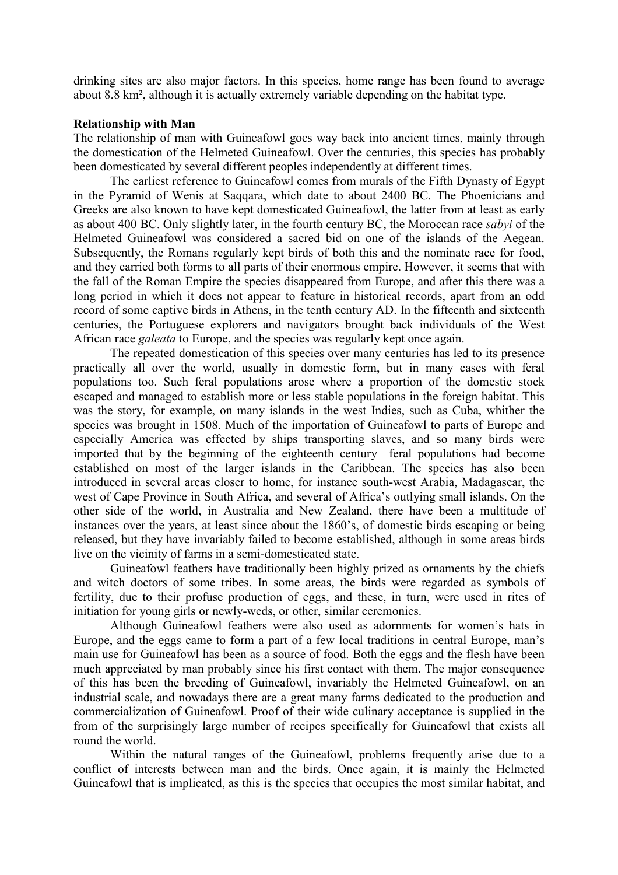drinking sites are also major factors. In this species, home range has been found to average about 8.8 km², although it is actually extremely variable depending on the habitat type.

#### Relationship with Man

The relationship of man with Guineafowl goes way back into ancient times, mainly through the domestication of the Helmeted Guineafowl. Over the centuries, this species has probably been domesticated by several different peoples independently at different times.

 The earliest reference to Guineafowl comes from murals of the Fifth Dynasty of Egypt in the Pyramid of Wenis at Saqqara, which date to about 2400 BC. The Phoenicians and Greeks are also known to have kept domesticated Guineafowl, the latter from at least as early as about 400 BC. Only slightly later, in the fourth century BC, the Moroccan race sabyi of the Helmeted Guineafowl was considered a sacred bid on one of the islands of the Aegean. Subsequently, the Romans regularly kept birds of both this and the nominate race for food, and they carried both forms to all parts of their enormous empire. However, it seems that with the fall of the Roman Empire the species disappeared from Europe, and after this there was a long period in which it does not appear to feature in historical records, apart from an odd record of some captive birds in Athens, in the tenth century AD. In the fifteenth and sixteenth centuries, the Portuguese explorers and navigators brought back individuals of the West African race galeata to Europe, and the species was regularly kept once again.

 The repeated domestication of this species over many centuries has led to its presence practically all over the world, usually in domestic form, but in many cases with feral populations too. Such feral populations arose where a proportion of the domestic stock escaped and managed to establish more or less stable populations in the foreign habitat. This was the story, for example, on many islands in the west Indies, such as Cuba, whither the species was brought in 1508. Much of the importation of Guineafowl to parts of Europe and especially America was effected by ships transporting slaves, and so many birds were imported that by the beginning of the eighteenth century feral populations had become established on most of the larger islands in the Caribbean. The species has also been introduced in several areas closer to home, for instance south-west Arabia, Madagascar, the west of Cape Province in South Africa, and several of Africa's outlying small islands. On the other side of the world, in Australia and New Zealand, there have been a multitude of instances over the years, at least since about the 1860's, of domestic birds escaping or being released, but they have invariably failed to become established, although in some areas birds live on the vicinity of farms in a semi-domesticated state.

 Guineafowl feathers have traditionally been highly prized as ornaments by the chiefs and witch doctors of some tribes. In some areas, the birds were regarded as symbols of fertility, due to their profuse production of eggs, and these, in turn, were used in rites of initiation for young girls or newly-weds, or other, similar ceremonies.

 Although Guineafowl feathers were also used as adornments for women's hats in Europe, and the eggs came to form a part of a few local traditions in central Europe, man's main use for Guineafowl has been as a source of food. Both the eggs and the flesh have been much appreciated by man probably since his first contact with them. The major consequence of this has been the breeding of Guineafowl, invariably the Helmeted Guineafowl, on an industrial scale, and nowadays there are a great many farms dedicated to the production and commercialization of Guineafowl. Proof of their wide culinary acceptance is supplied in the from of the surprisingly large number of recipes specifically for Guineafowl that exists all round the world.

 Within the natural ranges of the Guineafowl, problems frequently arise due to a conflict of interests between man and the birds. Once again, it is mainly the Helmeted Guineafowl that is implicated, as this is the species that occupies the most similar habitat, and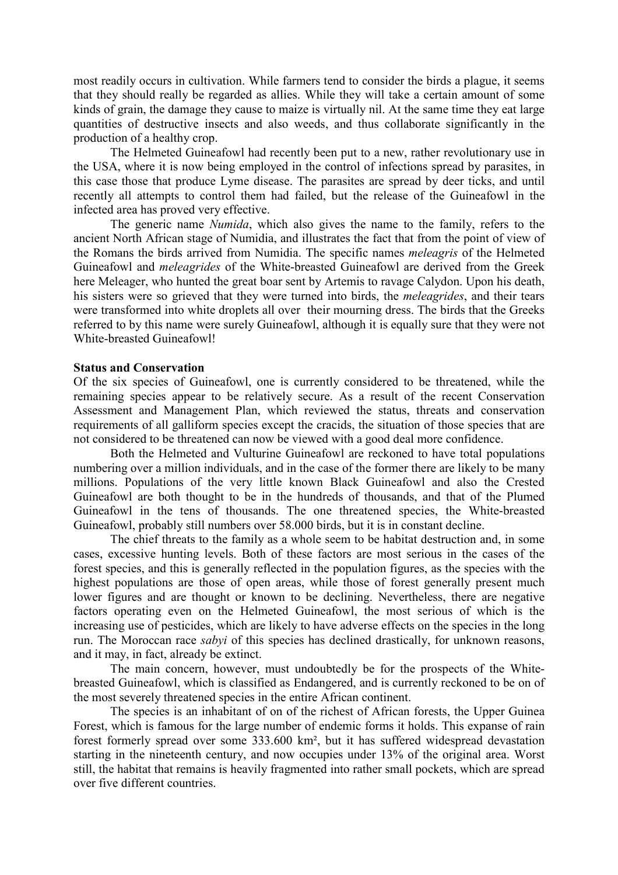most readily occurs in cultivation. While farmers tend to consider the birds a plague, it seems that they should really be regarded as allies. While they will take a certain amount of some kinds of grain, the damage they cause to maize is virtually nil. At the same time they eat large quantities of destructive insects and also weeds, and thus collaborate significantly in the production of a healthy crop.

 The Helmeted Guineafowl had recently been put to a new, rather revolutionary use in the USA, where it is now being employed in the control of infections spread by parasites, in this case those that produce Lyme disease. The parasites are spread by deer ticks, and until recently all attempts to control them had failed, but the release of the Guineafowl in the infected area has proved very effective.

The generic name  $Numida$ , which also gives the name to the family, refers to the ancient North African stage of Numidia, and illustrates the fact that from the point of view of the Romans the birds arrived from Numidia. The specific names meleagris of the Helmeted Guineafowl and meleagrides of the White-breasted Guineafowl are derived from the Greek here Meleager, who hunted the great boar sent by Artemis to ravage Calydon. Upon his death, his sisters were so grieved that they were turned into birds, the *meleagrides*, and their tears were transformed into white droplets all over their mourning dress. The birds that the Greeks referred to by this name were surely Guineafowl, although it is equally sure that they were not White-breasted Guineafowl!

#### Status and Conservation

Of the six species of Guineafowl, one is currently considered to be threatened, while the remaining species appear to be relatively secure. As a result of the recent Conservation Assessment and Management Plan, which reviewed the status, threats and conservation requirements of all galliform species except the cracids, the situation of those species that are not considered to be threatened can now be viewed with a good deal more confidence.

 Both the Helmeted and Vulturine Guineafowl are reckoned to have total populations numbering over a million individuals, and in the case of the former there are likely to be many millions. Populations of the very little known Black Guineafowl and also the Crested Guineafowl are both thought to be in the hundreds of thousands, and that of the Plumed Guineafowl in the tens of thousands. The one threatened species, the White-breasted Guineafowl, probably still numbers over 58.000 birds, but it is in constant decline.

 The chief threats to the family as a whole seem to be habitat destruction and, in some cases, excessive hunting levels. Both of these factors are most serious in the cases of the forest species, and this is generally reflected in the population figures, as the species with the highest populations are those of open areas, while those of forest generally present much lower figures and are thought or known to be declining. Nevertheless, there are negative factors operating even on the Helmeted Guineafowl, the most serious of which is the increasing use of pesticides, which are likely to have adverse effects on the species in the long run. The Moroccan race sabyi of this species has declined drastically, for unknown reasons, and it may, in fact, already be extinct.

 The main concern, however, must undoubtedly be for the prospects of the Whitebreasted Guineafowl, which is classified as Endangered, and is currently reckoned to be on of the most severely threatened species in the entire African continent.

 The species is an inhabitant of on of the richest of African forests, the Upper Guinea Forest, which is famous for the large number of endemic forms it holds. This expanse of rain forest formerly spread over some 333.600 km², but it has suffered widespread devastation starting in the nineteenth century, and now occupies under 13% of the original area. Worst still, the habitat that remains is heavily fragmented into rather small pockets, which are spread over five different countries.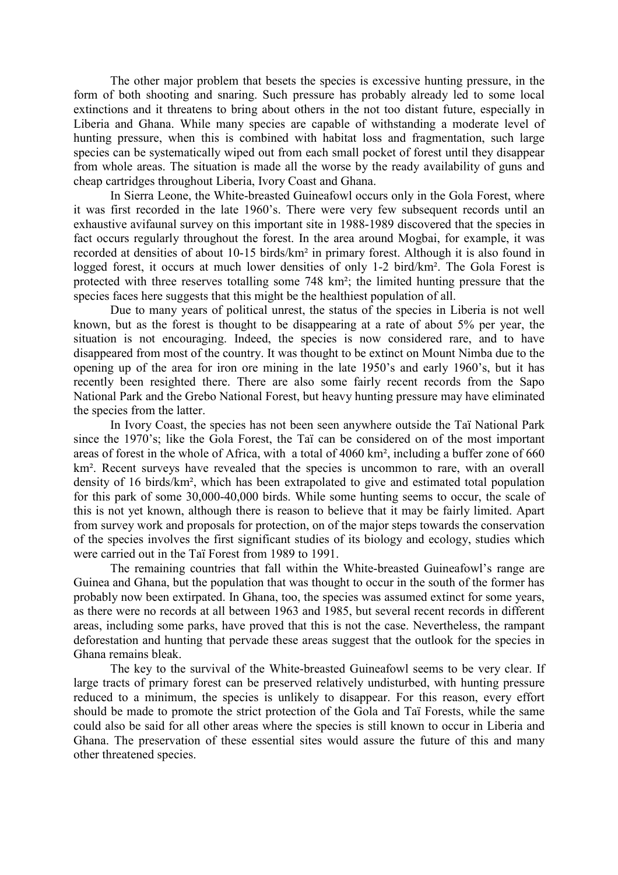The other major problem that besets the species is excessive hunting pressure, in the form of both shooting and snaring. Such pressure has probably already led to some local extinctions and it threatens to bring about others in the not too distant future, especially in Liberia and Ghana. While many species are capable of withstanding a moderate level of hunting pressure, when this is combined with habitat loss and fragmentation, such large species can be systematically wiped out from each small pocket of forest until they disappear from whole areas. The situation is made all the worse by the ready availability of guns and cheap cartridges throughout Liberia, Ivory Coast and Ghana.

 In Sierra Leone, the White-breasted Guineafowl occurs only in the Gola Forest, where it was first recorded in the late 1960's. There were very few subsequent records until an exhaustive avifaunal survey on this important site in 1988-1989 discovered that the species in fact occurs regularly throughout the forest. In the area around Mogbai, for example, it was recorded at densities of about 10-15 birds/km² in primary forest. Although it is also found in logged forest, it occurs at much lower densities of only 1-2 bird/km². The Gola Forest is protected with three reserves totalling some 748 km²; the limited hunting pressure that the species faces here suggests that this might be the healthiest population of all.

 Due to many years of political unrest, the status of the species in Liberia is not well known, but as the forest is thought to be disappearing at a rate of about 5% per year, the situation is not encouraging. Indeed, the species is now considered rare, and to have disappeared from most of the country. It was thought to be extinct on Mount Nimba due to the opening up of the area for iron ore mining in the late 1950's and early 1960's, but it has recently been resighted there. There are also some fairly recent records from the Sapo National Park and the Grebo National Forest, but heavy hunting pressure may have eliminated the species from the latter.

 In Ivory Coast, the species has not been seen anywhere outside the Taï National Park since the 1970's; like the Gola Forest, the Taï can be considered on of the most important areas of forest in the whole of Africa, with a total of 4060 km², including a buffer zone of 660 km<sup>2</sup>. Recent surveys have revealed that the species is uncommon to rare, with an overall density of 16 birds/km², which has been extrapolated to give and estimated total population for this park of some 30,000-40,000 birds. While some hunting seems to occur, the scale of this is not yet known, although there is reason to believe that it may be fairly limited. Apart from survey work and proposals for protection, on of the major steps towards the conservation of the species involves the first significant studies of its biology and ecology, studies which were carried out in the Taï Forest from 1989 to 1991.

 The remaining countries that fall within the White-breasted Guineafowl's range are Guinea and Ghana, but the population that was thought to occur in the south of the former has probably now been extirpated. In Ghana, too, the species was assumed extinct for some years, as there were no records at all between 1963 and 1985, but several recent records in different areas, including some parks, have proved that this is not the case. Nevertheless, the rampant deforestation and hunting that pervade these areas suggest that the outlook for the species in Ghana remains bleak.

 The key to the survival of the White-breasted Guineafowl seems to be very clear. If large tracts of primary forest can be preserved relatively undisturbed, with hunting pressure reduced to a minimum, the species is unlikely to disappear. For this reason, every effort should be made to promote the strict protection of the Gola and Taï Forests, while the same could also be said for all other areas where the species is still known to occur in Liberia and Ghana. The preservation of these essential sites would assure the future of this and many other threatened species.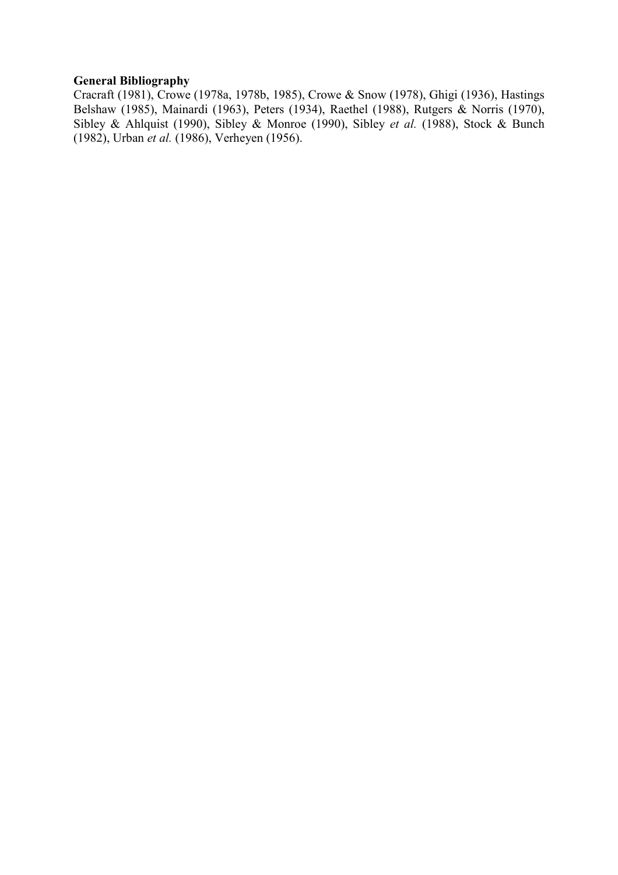### General Bibliography

Cracraft (1981), Crowe (1978a, 1978b, 1985), Crowe & Snow (1978), Ghigi (1936), Hastings Belshaw (1985), Mainardi (1963), Peters (1934), Raethel (1988), Rutgers & Norris (1970), Sibley & Ahlquist (1990), Sibley & Monroe (1990), Sibley et al. (1988), Stock & Bunch (1982), Urban et al. (1986), Verheyen (1956).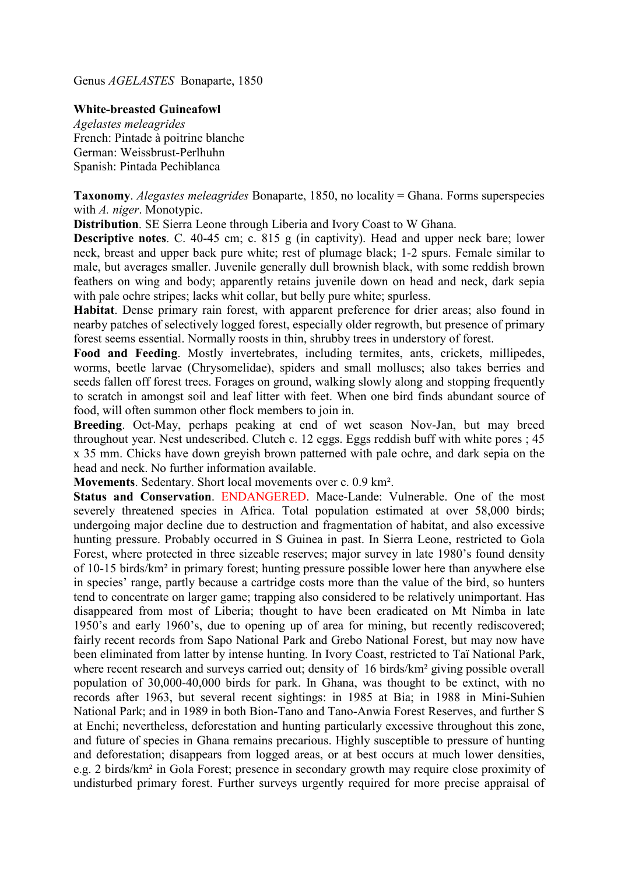Genus AGELASTES Bonaparte, 1850

### White-breasted Guineafowl

Agelastes meleagrides French: Pintade à poitrine blanche German: Weissbrust-Perlhuhn Spanish: Pintada Pechiblanca

Taxonomy. Alegastes meleagrides Bonaparte, 1850, no locality = Ghana. Forms superspecies with A. niger. Monotypic.

Distribution. SE Sierra Leone through Liberia and Ivory Coast to W Ghana.

Descriptive notes. C. 40-45 cm; c. 815 g (in captivity). Head and upper neck bare; lower neck, breast and upper back pure white; rest of plumage black; 1-2 spurs. Female similar to male, but averages smaller. Juvenile generally dull brownish black, with some reddish brown feathers on wing and body; apparently retains juvenile down on head and neck, dark sepia with pale ochre stripes; lacks whit collar, but belly pure white; spurless.

Habitat. Dense primary rain forest, with apparent preference for drier areas; also found in nearby patches of selectively logged forest, especially older regrowth, but presence of primary forest seems essential. Normally roosts in thin, shrubby trees in understory of forest.

Food and Feeding. Mostly invertebrates, including termites, ants, crickets, millipedes, worms, beetle larvae (Chrysomelidae), spiders and small molluscs; also takes berries and seeds fallen off forest trees. Forages on ground, walking slowly along and stopping frequently to scratch in amongst soil and leaf litter with feet. When one bird finds abundant source of food, will often summon other flock members to join in.

Breeding. Oct-May, perhaps peaking at end of wet season Nov-Jan, but may breed throughout year. Nest undescribed. Clutch c. 12 eggs. Eggs reddish buff with white pores ; 45 x 35 mm. Chicks have down greyish brown patterned with pale ochre, and dark sepia on the head and neck. No further information available.

Movements. Sedentary. Short local movements over c. 0.9 km².

Status and Conservation. ENDANGERED. Mace-Lande: Vulnerable. One of the most severely threatened species in Africa. Total population estimated at over 58,000 birds; undergoing major decline due to destruction and fragmentation of habitat, and also excessive hunting pressure. Probably occurred in S Guinea in past. In Sierra Leone, restricted to Gola Forest, where protected in three sizeable reserves; major survey in late 1980's found density of 10-15 birds/km² in primary forest; hunting pressure possible lower here than anywhere else in species' range, partly because a cartridge costs more than the value of the bird, so hunters tend to concentrate on larger game; trapping also considered to be relatively unimportant. Has disappeared from most of Liberia; thought to have been eradicated on Mt Nimba in late 1950's and early 1960's, due to opening up of area for mining, but recently rediscovered; fairly recent records from Sapo National Park and Grebo National Forest, but may now have been eliminated from latter by intense hunting. In Ivory Coast, restricted to Taï National Park, where recent research and surveys carried out; density of 16 birds/km<sup>2</sup> giving possible overall population of 30,000-40,000 birds for park. In Ghana, was thought to be extinct, with no records after 1963, but several recent sightings: in 1985 at Bia; in 1988 in Mini-Suhien National Park; and in 1989 in both Bion-Tano and Tano-Anwia Forest Reserves, and further S at Enchi; nevertheless, deforestation and hunting particularly excessive throughout this zone, and future of species in Ghana remains precarious. Highly susceptible to pressure of hunting and deforestation; disappears from logged areas, or at best occurs at much lower densities, e.g. 2 birds/km² in Gola Forest; presence in secondary growth may require close proximity of undisturbed primary forest. Further surveys urgently required for more precise appraisal of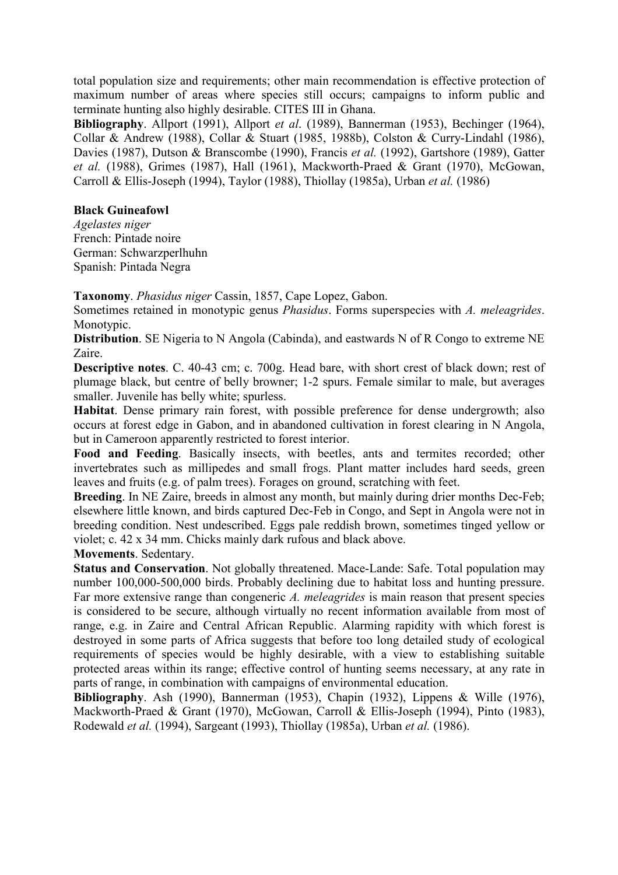total population size and requirements; other main recommendation is effective protection of maximum number of areas where species still occurs; campaigns to inform public and terminate hunting also highly desirable. CITES III in Ghana.

Bibliography. Allport (1991), Allport et al. (1989), Bannerman (1953), Bechinger (1964), Collar & Andrew (1988), Collar & Stuart (1985, 1988b), Colston & Curry-Lindahl (1986), Davies (1987), Dutson & Branscombe (1990), Francis et al. (1992), Gartshore (1989), Gatter et al. (1988), Grimes (1987), Hall (1961), Mackworth-Praed & Grant (1970), McGowan, Carroll & Ellis-Joseph (1994), Taylor (1988), Thiollay (1985a), Urban et al. (1986)

### Black Guineafowl

Agelastes niger French: Pintade noire German: Schwarzperlhuhn Spanish: Pintada Negra

Taxonomy. Phasidus niger Cassin, 1857, Cape Lopez, Gabon.

Sometimes retained in monotypic genus *Phasidus*. Forms superspecies with A. meleagrides. Monotypic.

Distribution. SE Nigeria to N Angola (Cabinda), and eastwards N of R Congo to extreme NE Zaire.

Descriptive notes. C. 40-43 cm; c. 700g. Head bare, with short crest of black down; rest of plumage black, but centre of belly browner; 1-2 spurs. Female similar to male, but averages smaller. Juvenile has belly white; spurless.

Habitat. Dense primary rain forest, with possible preference for dense undergrowth; also occurs at forest edge in Gabon, and in abandoned cultivation in forest clearing in N Angola, but in Cameroon apparently restricted to forest interior.

Food and Feeding. Basically insects, with beetles, ants and termites recorded; other invertebrates such as millipedes and small frogs. Plant matter includes hard seeds, green leaves and fruits (e.g. of palm trees). Forages on ground, scratching with feet.

Breeding. In NE Zaire, breeds in almost any month, but mainly during drier months Dec-Feb; elsewhere little known, and birds captured Dec-Feb in Congo, and Sept in Angola were not in breeding condition. Nest undescribed. Eggs pale reddish brown, sometimes tinged yellow or violet; c. 42 x 34 mm. Chicks mainly dark rufous and black above.

#### Movements. Sedentary.

Status and Conservation. Not globally threatened. Mace-Lande: Safe. Total population may number 100,000-500,000 birds. Probably declining due to habitat loss and hunting pressure. Far more extensive range than congeneric A, *meleagrides* is main reason that present species is considered to be secure, although virtually no recent information available from most of range, e.g. in Zaire and Central African Republic. Alarming rapidity with which forest is destroyed in some parts of Africa suggests that before too long detailed study of ecological requirements of species would be highly desirable, with a view to establishing suitable protected areas within its range; effective control of hunting seems necessary, at any rate in parts of range, in combination with campaigns of environmental education.

Bibliography. Ash (1990), Bannerman (1953), Chapin (1932), Lippens & Wille (1976), Mackworth-Praed & Grant (1970), McGowan, Carroll & Ellis-Joseph (1994), Pinto (1983), Rodewald et al. (1994), Sargeant (1993), Thiollay (1985a), Urban et al. (1986).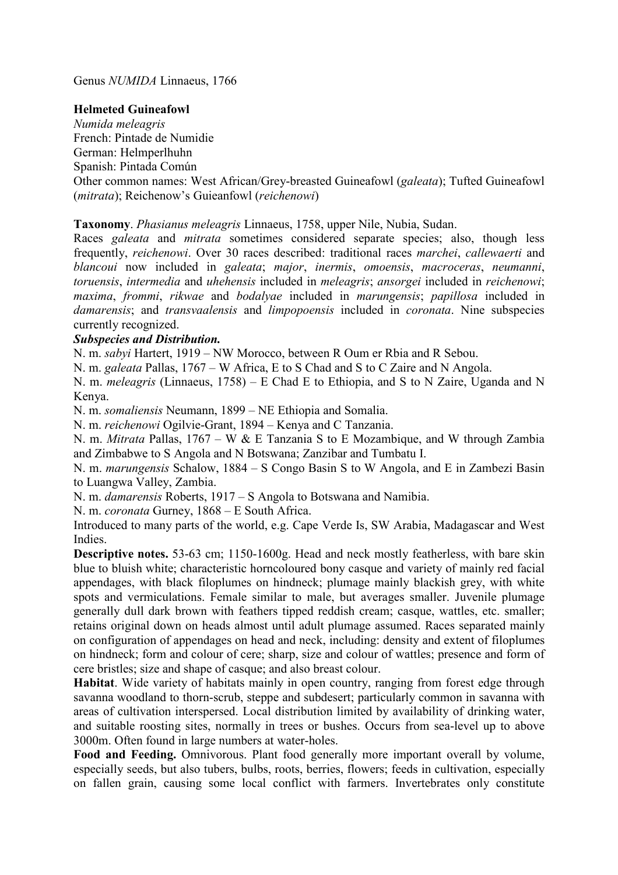Genus NUMIDA Linnaeus, 1766

## Helmeted Guineafowl

Numida meleagris French: Pintade de Numidie German: Helmperlhuhn

Spanish: Pintada Común

Other common names: West African/Grey-breasted Guineafowl (galeata); Tufted Guineafowl (mitrata); Reichenow's Guieanfowl (reichenowi)

Taxonomy. Phasianus meleagris Linnaeus, 1758, upper Nile, Nubia, Sudan.

Races *galeata* and *mitrata* sometimes considered separate species; also, though less frequently, reichenowi. Over 30 races described: traditional races marchei, callewaerti and blancoui now included in galeata; major, inermis, omoensis, macroceras, neumanni, toruensis, intermedia and uhehensis included in meleagris; ansorgei included in reichenowi; maxima, frommi, rikwae and bodalyae included in marungensis; papillosa included in damarensis; and transvaalensis and *limpopoensis* included in *coronata*. Nine subspecies currently recognized.

# Subspecies and Distribution.

N. m. sabyi Hartert, 1919 – NW Morocco, between R Oum er Rbia and R Sebou.

N. m. galeata Pallas, 1767 – W Africa, E to S Chad and S to C Zaire and N Angola.

N. m. meleagris (Linnaeus, 1758) – E Chad E to Ethiopia, and S to N Zaire, Uganda and N Kenya.

N. m. somaliensis Neumann, 1899 – NE Ethiopia and Somalia.

N. m. reichenowi Ogilvie-Grant, 1894 – Kenya and C Tanzania.

N. m. Mitrata Pallas, 1767 – W & E Tanzania S to E Mozambique, and W through Zambia and Zimbabwe to S Angola and N Botswana; Zanzibar and Tumbatu I.

N. m. marungensis Schalow, 1884 – S Congo Basin S to W Angola, and E in Zambezi Basin to Luangwa Valley, Zambia.

N. m. damarensis Roberts, 1917 – S Angola to Botswana and Namibia.

N. m. coronata Gurney, 1868 – E South Africa.

Introduced to many parts of the world, e.g. Cape Verde Is, SW Arabia, Madagascar and West Indies.

Descriptive notes. 53-63 cm; 1150-1600g. Head and neck mostly featherless, with bare skin blue to bluish white; characteristic horncoloured bony casque and variety of mainly red facial appendages, with black filoplumes on hindneck; plumage mainly blackish grey, with white spots and vermiculations. Female similar to male, but averages smaller. Juvenile plumage generally dull dark brown with feathers tipped reddish cream; casque, wattles, etc. smaller; retains original down on heads almost until adult plumage assumed. Races separated mainly on configuration of appendages on head and neck, including: density and extent of filoplumes on hindneck; form and colour of cere; sharp, size and colour of wattles; presence and form of cere bristles; size and shape of casque; and also breast colour.

Habitat. Wide variety of habitats mainly in open country, ranging from forest edge through savanna woodland to thorn-scrub, steppe and subdesert; particularly common in savanna with areas of cultivation interspersed. Local distribution limited by availability of drinking water, and suitable roosting sites, normally in trees or bushes. Occurs from sea-level up to above 3000m. Often found in large numbers at water-holes.

Food and Feeding. Omnivorous. Plant food generally more important overall by volume, especially seeds, but also tubers, bulbs, roots, berries, flowers; feeds in cultivation, especially on fallen grain, causing some local conflict with farmers. Invertebrates only constitute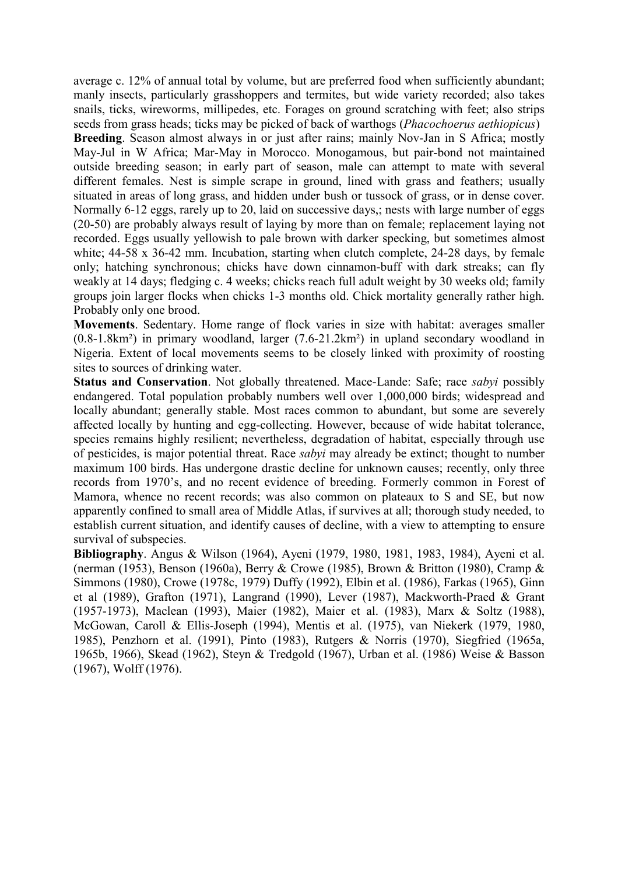average c. 12% of annual total by volume, but are preferred food when sufficiently abundant; manly insects, particularly grasshoppers and termites, but wide variety recorded; also takes snails, ticks, wireworms, millipedes, etc. Forages on ground scratching with feet; also strips seeds from grass heads; ticks may be picked of back of warthogs (Phacochoerus aethiopicus)

Breeding. Season almost always in or just after rains; mainly Nov-Jan in S Africa; mostly May-Jul in W Africa; Mar-May in Morocco. Monogamous, but pair-bond not maintained outside breeding season; in early part of season, male can attempt to mate with several different females. Nest is simple scrape in ground, lined with grass and feathers; usually situated in areas of long grass, and hidden under bush or tussock of grass, or in dense cover. Normally 6-12 eggs, rarely up to 20, laid on successive days,; nests with large number of eggs (20-50) are probably always result of laying by more than on female; replacement laying not recorded. Eggs usually yellowish to pale brown with darker specking, but sometimes almost white; 44-58 x 36-42 mm. Incubation, starting when clutch complete, 24-28 days, by female only; hatching synchronous; chicks have down cinnamon-buff with dark streaks; can fly weakly at 14 days; fledging c. 4 weeks; chicks reach full adult weight by 30 weeks old; family groups join larger flocks when chicks 1-3 months old. Chick mortality generally rather high. Probably only one brood.

Movements. Sedentary. Home range of flock varies in size with habitat: averages smaller (0.8-1.8km²) in primary woodland, larger (7.6-21.2km²) in upland secondary woodland in Nigeria. Extent of local movements seems to be closely linked with proximity of roosting sites to sources of drinking water.

Status and Conservation. Not globally threatened. Mace-Lande: Safe: race sabyi possibly endangered. Total population probably numbers well over 1,000,000 birds; widespread and locally abundant; generally stable. Most races common to abundant, but some are severely affected locally by hunting and egg-collecting. However, because of wide habitat tolerance, species remains highly resilient; nevertheless, degradation of habitat, especially through use of pesticides, is major potential threat. Race sabyi may already be extinct; thought to number maximum 100 birds. Has undergone drastic decline for unknown causes; recently, only three records from 1970's, and no recent evidence of breeding. Formerly common in Forest of Mamora, whence no recent records; was also common on plateaux to S and SE, but now apparently confined to small area of Middle Atlas, if survives at all; thorough study needed, to establish current situation, and identify causes of decline, with a view to attempting to ensure survival of subspecies.

Bibliography. Angus & Wilson (1964), Ayeni (1979, 1980, 1981, 1983, 1984), Ayeni et al. (nerman (1953), Benson (1960a), Berry & Crowe (1985), Brown & Britton (1980), Cramp & Simmons (1980), Crowe (1978c, 1979) Duffy (1992), Elbin et al. (1986), Farkas (1965), Ginn et al (1989), Grafton (1971), Langrand (1990), Lever (1987), Mackworth-Praed & Grant (1957-1973), Maclean (1993), Maier (1982), Maier et al. (1983), Marx & Soltz (1988), McGowan, Caroll & Ellis-Joseph (1994), Mentis et al. (1975), van Niekerk (1979, 1980, 1985), Penzhorn et al. (1991), Pinto (1983), Rutgers & Norris (1970), Siegfried (1965a, 1965b, 1966), Skead (1962), Steyn & Tredgold (1967), Urban et al. (1986) Weise & Basson (1967), Wolff (1976).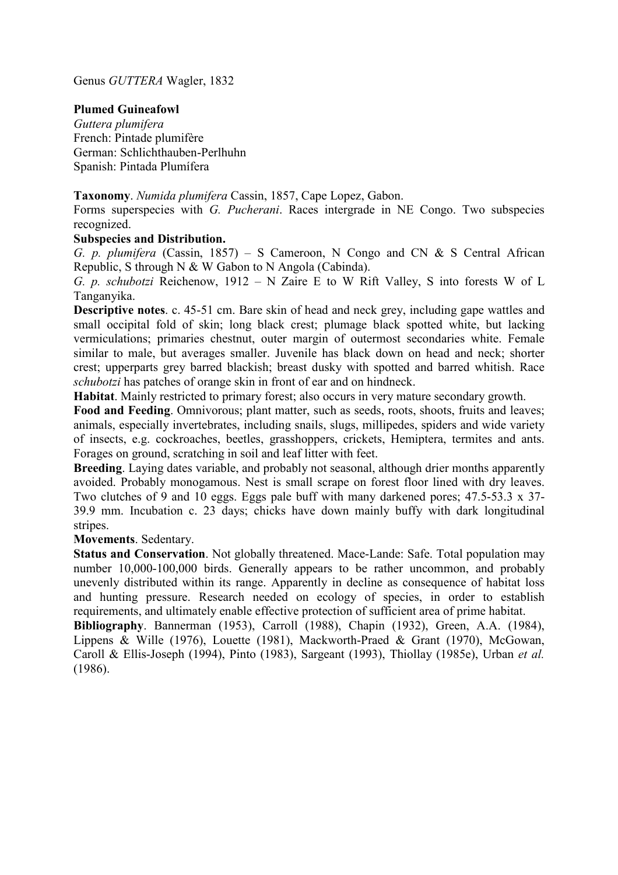Genus GUTTERA Wagler, 1832

### Plumed Guineafowl

Guttera plumifera French: Pintade plumifère German: Schlichthauben-Perlhuhn Spanish: Pintada Plumífera

Taxonomy. Numida plumifera Cassin, 1857, Cape Lopez, Gabon.

Forms superspecies with G. Pucherani. Races intergrade in NE Congo. Two subspecies recognized.

#### Subspecies and Distribution.

G. p. plumifera (Cassin, 1857) – S Cameroon, N Congo and CN & S Central African Republic, S through N & W Gabon to N Angola (Cabinda).

G. p. schubotzi Reichenow,  $1912 - N$  Zaire E to W Rift Valley, S into forests W of L Tanganyika.

Descriptive notes. c. 45-51 cm. Bare skin of head and neck grey, including gape wattles and small occipital fold of skin; long black crest; plumage black spotted white, but lacking vermiculations; primaries chestnut, outer margin of outermost secondaries white. Female similar to male, but averages smaller. Juvenile has black down on head and neck; shorter crest; upperparts grey barred blackish; breast dusky with spotted and barred whitish. Race schubotzi has patches of orange skin in front of ear and on hindneck.

Habitat. Mainly restricted to primary forest; also occurs in very mature secondary growth.

Food and Feeding. Omnivorous; plant matter, such as seeds, roots, shoots, fruits and leaves; animals, especially invertebrates, including snails, slugs, millipedes, spiders and wide variety of insects, e.g. cockroaches, beetles, grasshoppers, crickets, Hemiptera, termites and ants. Forages on ground, scratching in soil and leaf litter with feet.

Breeding. Laying dates variable, and probably not seasonal, although drier months apparently avoided. Probably monogamous. Nest is small scrape on forest floor lined with dry leaves. Two clutches of 9 and 10 eggs. Eggs pale buff with many darkened pores; 47.5-53.3 x 37- 39.9 mm. Incubation c. 23 days; chicks have down mainly buffy with dark longitudinal stripes.

Movements. Sedentary.

Status and Conservation. Not globally threatened. Mace-Lande: Safe. Total population may number 10,000-100,000 birds. Generally appears to be rather uncommon, and probably unevenly distributed within its range. Apparently in decline as consequence of habitat loss and hunting pressure. Research needed on ecology of species, in order to establish requirements, and ultimately enable effective protection of sufficient area of prime habitat.

Bibliography. Bannerman (1953), Carroll (1988), Chapin (1932), Green, A.A. (1984), Lippens & Wille (1976), Louette (1981), Mackworth-Praed & Grant (1970), McGowan, Caroll & Ellis-Joseph (1994), Pinto (1983), Sargeant (1993), Thiollay (1985e), Urban et al. (1986).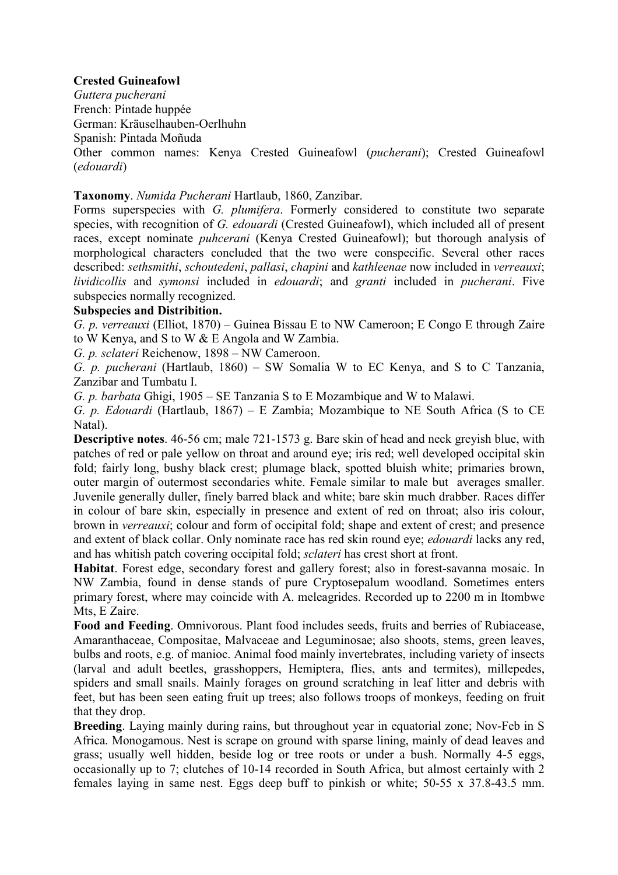# Crested Guineafowl

Guttera pucherani French: Pintade huppée German: Kräuselhauben-Oerlhuhn Spanish: Pintada Moñuda Other common names: Kenya Crested Guineafowl (pucherani); Crested Guineafowl (edouardi)

## Taxonomy. Numida Pucherani Hartlaub, 1860, Zanzibar.

Forms superspecies with G. plumifera. Formerly considered to constitute two separate species, with recognition of G. *edouardi* (Crested Guineafowl), which included all of present races, except nominate puhcerani (Kenya Crested Guineafowl); but thorough analysis of morphological characters concluded that the two were conspecific. Several other races described: sethsmithi, schoutedeni, pallasi, chapini and kathleenae now included in verreauxi; lividicollis and symonsi included in edouardi; and granti included in pucherani. Five subspecies normally recognized.

### Subspecies and Distribition.

G. p. verreauxi (Elliot, 1870) – Guinea Bissau E to NW Cameroon; E Congo E through Zaire to W Kenya, and S to W & E Angola and W Zambia.

G. p. sclateri Reichenow, 1898 – NW Cameroon.

G. p. pucherani (Hartlaub, 1860) – SW Somalia W to EC Kenya, and S to C Tanzania, Zanzibar and Tumbatu I.

G. p. barbata Ghigi, 1905 – SE Tanzania S to E Mozambique and W to Malawi.

G. p. Edouardi (Hartlaub, 1867) – E Zambia; Mozambique to NE South Africa (S to CE Natal).

Descriptive notes. 46-56 cm; male 721-1573 g. Bare skin of head and neck greyish blue, with patches of red or pale yellow on throat and around eye; iris red; well developed occipital skin fold; fairly long, bushy black crest; plumage black, spotted bluish white; primaries brown, outer margin of outermost secondaries white. Female similar to male but averages smaller. Juvenile generally duller, finely barred black and white; bare skin much drabber. Races differ in colour of bare skin, especially in presence and extent of red on throat; also iris colour, brown in verreauxi; colour and form of occipital fold; shape and extent of crest; and presence and extent of black collar. Only nominate race has red skin round eye; edouardi lacks any red, and has whitish patch covering occipital fold; sclateri has crest short at front.

Habitat. Forest edge, secondary forest and gallery forest; also in forest-savanna mosaic. In NW Zambia, found in dense stands of pure Cryptosepalum woodland. Sometimes enters primary forest, where may coincide with A. meleagrides. Recorded up to 2200 m in Itombwe Mts, E Zaire.

Food and Feeding. Omnivorous. Plant food includes seeds, fruits and berries of Rubiacease, Amaranthaceae, Compositae, Malvaceae and Leguminosae; also shoots, stems, green leaves, bulbs and roots, e.g. of manioc. Animal food mainly invertebrates, including variety of insects (larval and adult beetles, grasshoppers, Hemiptera, flies, ants and termites), millepedes, spiders and small snails. Mainly forages on ground scratching in leaf litter and debris with feet, but has been seen eating fruit up trees; also follows troops of monkeys, feeding on fruit that they drop.

Breeding. Laying mainly during rains, but throughout year in equatorial zone; Nov-Feb in S Africa. Monogamous. Nest is scrape on ground with sparse lining, mainly of dead leaves and grass; usually well hidden, beside log or tree roots or under a bush. Normally 4-5 eggs, occasionally up to 7; clutches of 10-14 recorded in South Africa, but almost certainly with 2 females laying in same nest. Eggs deep buff to pinkish or white; 50-55 x 37.8-43.5 mm.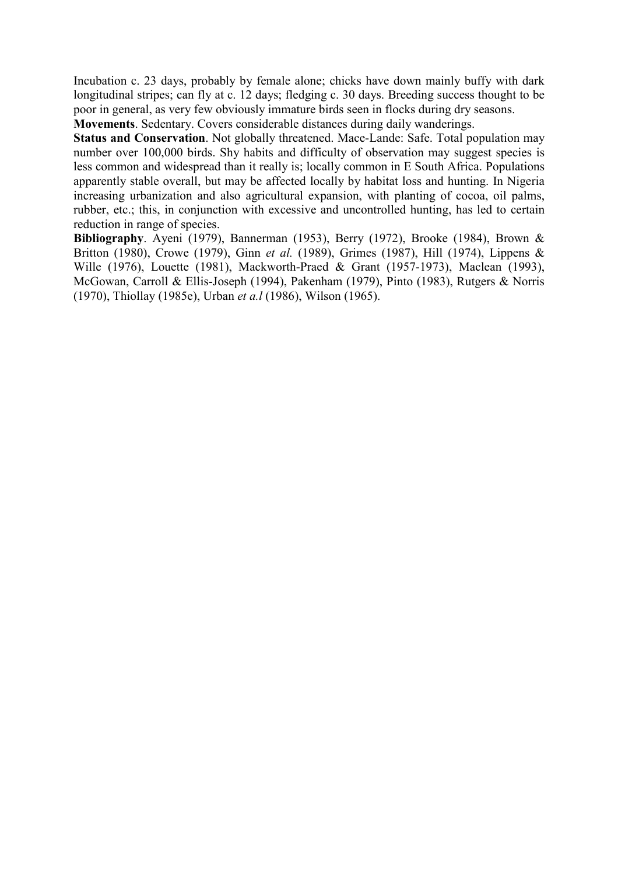Incubation c. 23 days, probably by female alone; chicks have down mainly buffy with dark longitudinal stripes; can fly at c. 12 days; fledging c. 30 days. Breeding success thought to be poor in general, as very few obviously immature birds seen in flocks during dry seasons.

Movements. Sedentary. Covers considerable distances during daily wanderings.

Status and Conservation. Not globally threatened. Mace-Lande: Safe. Total population may number over 100,000 birds. Shy habits and difficulty of observation may suggest species is less common and widespread than it really is; locally common in E South Africa. Populations apparently stable overall, but may be affected locally by habitat loss and hunting. In Nigeria increasing urbanization and also agricultural expansion, with planting of cocoa, oil palms, rubber, etc.; this, in conjunction with excessive and uncontrolled hunting, has led to certain reduction in range of species.

Bibliography. Ayeni (1979), Bannerman (1953), Berry (1972), Brooke (1984), Brown & Britton (1980), Crowe (1979), Ginn et al. (1989), Grimes (1987), Hill (1974), Lippens & Wille (1976), Louette (1981), Mackworth-Praed & Grant (1957-1973), Maclean (1993), McGowan, Carroll & Ellis-Joseph (1994), Pakenham (1979), Pinto (1983), Rutgers & Norris (1970), Thiollay (1985e), Urban et a.l (1986), Wilson (1965).